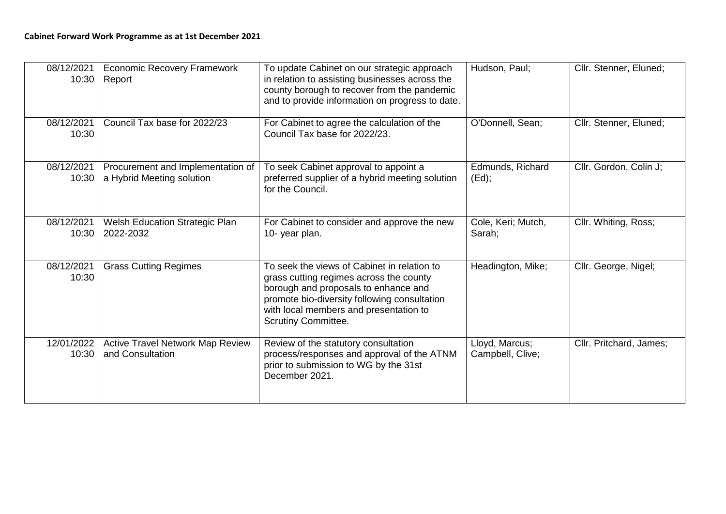| 08/12/2021<br>10:30 | <b>Economic Recovery Framework</b><br>Report                   | To update Cabinet on our strategic approach<br>in relation to assisting businesses across the<br>county borough to recover from the pandemic<br>and to provide information on progress to date.                                                        | Hudson, Paul;                      | Cllr. Stenner, Eluned;  |
|---------------------|----------------------------------------------------------------|--------------------------------------------------------------------------------------------------------------------------------------------------------------------------------------------------------------------------------------------------------|------------------------------------|-------------------------|
| 08/12/2021<br>10:30 | Council Tax base for 2022/23                                   | For Cabinet to agree the calculation of the<br>Council Tax base for 2022/23.                                                                                                                                                                           | O'Donnell, Sean;                   | Cllr. Stenner, Eluned;  |
| 08/12/2021<br>10:30 | Procurement and Implementation of<br>a Hybrid Meeting solution | To seek Cabinet approval to appoint a<br>preferred supplier of a hybrid meeting solution<br>for the Council.                                                                                                                                           | Edmunds, Richard<br>$(Ed)$ ;       | Cllr. Gordon, Colin J;  |
| 08/12/2021<br>10:30 | Welsh Education Strategic Plan<br>2022-2032                    | For Cabinet to consider and approve the new<br>10-year plan.                                                                                                                                                                                           | Cole, Keri; Mutch,<br>Sarah;       | Cllr. Whiting, Ross;    |
| 08/12/2021<br>10:30 | <b>Grass Cutting Regimes</b>                                   | To seek the views of Cabinet in relation to<br>grass cutting regimes across the county<br>borough and proposals to enhance and<br>promote bio-diversity following consultation<br>with local members and presentation to<br><b>Scrutiny Committee.</b> | Headington, Mike;                  | Cllr. George, Nigel;    |
| 12/01/2022<br>10:30 | <b>Active Travel Network Map Review</b><br>and Consultation    | Review of the statutory consultation<br>process/responses and approval of the ATNM<br>prior to submission to WG by the 31st<br>December 2021.                                                                                                          | Lloyd, Marcus;<br>Campbell, Clive; | Cllr. Pritchard, James; |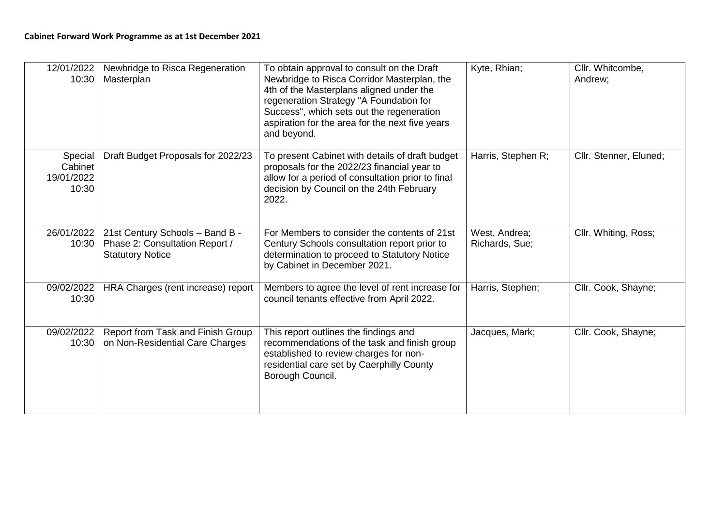| 12/01/2022<br>10:30                       | Newbridge to Risca Regeneration<br>Masterplan                                                | To obtain approval to consult on the Draft<br>Newbridge to Risca Corridor Masterplan, the<br>4th of the Masterplans aligned under the<br>regeneration Strategy "A Foundation for<br>Success", which sets out the regeneration<br>aspiration for the area for the next five years<br>and beyond. | Kyte, Rhian;                    | Cllr. Whitcombe,<br>Andrew: |
|-------------------------------------------|----------------------------------------------------------------------------------------------|-------------------------------------------------------------------------------------------------------------------------------------------------------------------------------------------------------------------------------------------------------------------------------------------------|---------------------------------|-----------------------------|
| Special<br>Cabinet<br>19/01/2022<br>10:30 | Draft Budget Proposals for 2022/23                                                           | To present Cabinet with details of draft budget<br>proposals for the 2022/23 financial year to<br>allow for a period of consultation prior to final<br>decision by Council on the 24th February<br>2022.                                                                                        | Harris, Stephen R;              | Cllr. Stenner, Eluned;      |
| 26/01/2022<br>10:30                       | 21st Century Schools - Band B -<br>Phase 2: Consultation Report /<br><b>Statutory Notice</b> | For Members to consider the contents of 21st<br>Century Schools consultation report prior to<br>determination to proceed to Statutory Notice<br>by Cabinet in December 2021.                                                                                                                    | West, Andrea;<br>Richards, Sue; | Cllr. Whiting, Ross;        |
| 09/02/2022<br>10:30                       | HRA Charges (rent increase) report                                                           | Members to agree the level of rent increase for<br>council tenants effective from April 2022.                                                                                                                                                                                                   | Harris, Stephen;                | Cllr. Cook, Shayne;         |
| 09/02/2022<br>10:30                       | Report from Task and Finish Group<br>on Non-Residential Care Charges                         | This report outlines the findings and<br>recommendations of the task and finish group<br>established to review charges for non-<br>residential care set by Caerphilly County<br>Borough Council.                                                                                                | Jacques, Mark;                  | Cllr. Cook, Shayne;         |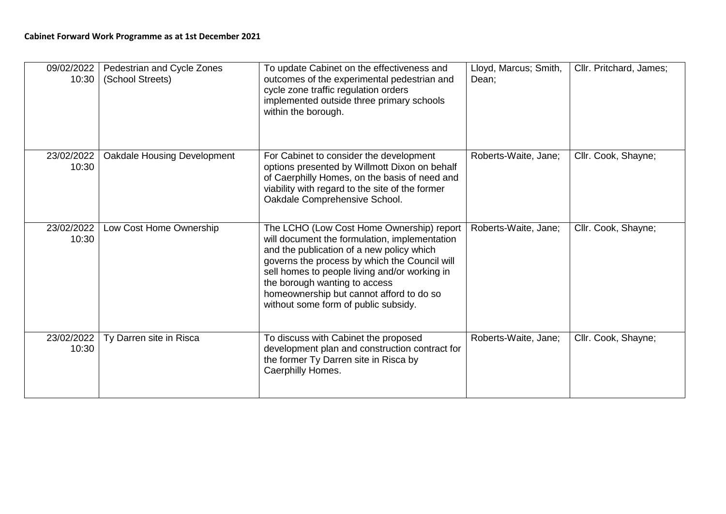| 09/02/2022<br>10:30 | Pedestrian and Cycle Zones<br>(School Streets) | To update Cabinet on the effectiveness and<br>outcomes of the experimental pedestrian and<br>cycle zone traffic regulation orders<br>implemented outside three primary schools<br>within the borough.                                                                                                                                                          | Lloyd, Marcus; Smith,<br>Dean: | Cllr. Pritchard, James; |
|---------------------|------------------------------------------------|----------------------------------------------------------------------------------------------------------------------------------------------------------------------------------------------------------------------------------------------------------------------------------------------------------------------------------------------------------------|--------------------------------|-------------------------|
| 23/02/2022<br>10:30 | <b>Oakdale Housing Development</b>             | For Cabinet to consider the development<br>options presented by Willmott Dixon on behalf<br>of Caerphilly Homes, on the basis of need and<br>viability with regard to the site of the former<br>Oakdale Comprehensive School.                                                                                                                                  | Roberts-Waite, Jane;           | Cllr. Cook, Shayne;     |
| 23/02/2022<br>10:30 | Low Cost Home Ownership                        | The LCHO (Low Cost Home Ownership) report<br>will document the formulation, implementation<br>and the publication of a new policy which<br>governs the process by which the Council will<br>sell homes to people living and/or working in<br>the borough wanting to access<br>homeownership but cannot afford to do so<br>without some form of public subsidy. | Roberts-Waite, Jane;           | Cllr. Cook, Shayne;     |
| 23/02/2022<br>10:30 | Ty Darren site in Risca                        | To discuss with Cabinet the proposed<br>development plan and construction contract for<br>the former Ty Darren site in Risca by<br>Caerphilly Homes.                                                                                                                                                                                                           | Roberts-Waite, Jane;           | Cllr. Cook, Shayne;     |